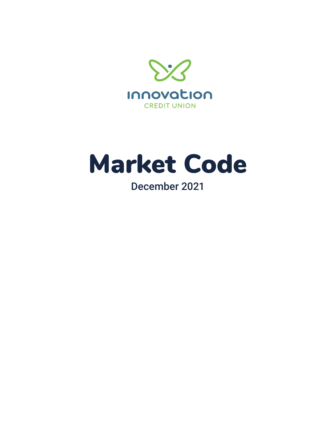

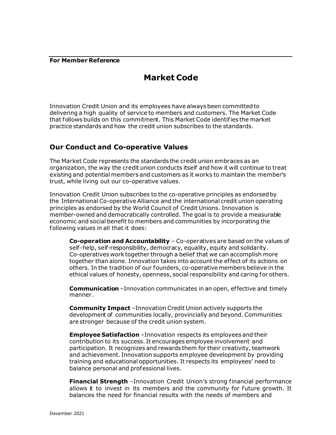#### **For Member Reference**

# **Market Code**

Innovation Credit Union and its employees have always been committed to delivering a high quality of service to members and customers. The Market Code that follows builds on this commitment. This Market Code identifies the market practice standards and how the credit union subscribes to the standards.

# **Our Conduct and Co-operative Values**

The Market Code represents the standards the credit union embraces as an organization, the way the credit union conducts itself and how it will continue to treat existing and potential members and customers as it works to maintain the member's trust, while living out our co-operative values.

Innovation Credit Union subscribes to the co-operative principles as endorsed by the International Co-operative Alliance and the international credit union operating principles as endorsed by the World Council of Credit Unions. Innovation is member-owned and democratically controlled. The goal is to provide a measurable economic and social benefit to members and communities by incorporating the following values in all that it does:

**Co-operation and Accountability** – Co-operatives are based on the values of self -help, self-responsibility, democracy, equality, equity and solidarity. Co-operatives work together through a belief that we can accomplish more together than alone. Innovation takes into account the ef fect of its actions on others. In the tradition of our founders, co-operative members believe in the ethical values of honesty, openness, social responsibility and caring for others.

**Communication** –Innovation communicates in an open, ef fective and timely manner.

**Community Impact** –Innovation Credit Union actively supports the development of communities locally, provincially and beyond. Communities are stronger because of the credit union system.

**Employee Satisfaction** –Innovation respects its employees and their contribution to its success. It encourages employee involvement and participation. It recognizes and rewards them for their creativity, teamwork and achievement. Innovation supports employee development by providing training and educational opportunities. It respects its employees' need to balance personal and professional lives.

**Financial Strength** –Innovation Credit Union's strong financial performance allows it to invest in its members and the community for future growth. It balances the need for financial results with the needs of members and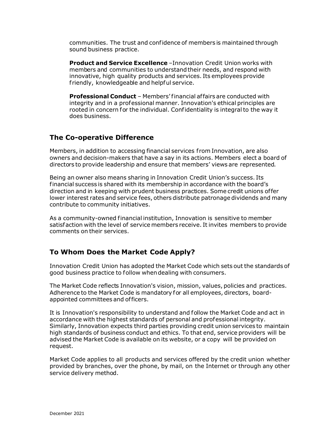communities. The trust and confidence of members is maintained through sound business practice.

**Product and Service Excellence** –Innovation Credit Union works with members and communities to understand their needs, and respond with innovative, high quality products and services. Its employees provide f riendly, knowledgeable and helpful service.

**Professional Conduct** – Members' financial affairs are conducted with integrity and in a professional manner. Innovation's ethical principles are rooted in concern for the individual. Confidentiality is integral to the way it does business.

# **The Co-operative Difference**

Members, in addition to accessing financial services f rom Innovation, are also owners and decision-makers that have a say in its actions. Members elect a board of directors to provide leadership and ensure that members' views are represented.

Being an owner also means sharing in Innovation Credit Union's success. Its financial success is shared with its membership in accordance with the board's direction and in keeping with prudent business practices. Some credit unions of fer lower interest rates and service fees, others distribute patronage dividends and many contribute to community initiatives.

As a community-owned financial institution, Innovation is sensitive to member satisfaction with the level of service members receive. It invites members to provide comments on their services.

# **To Whom Does the Market Code Apply?**

Innovation Credit Union has adopted the Market Code which sets out the standards of good business practice to follow when dealing with consumers.

The Market Code reflects Innovation's vision, mission, values, policies and practices. Adherence to the Market Code is mandatory for all employees, directors, boardappointed committees and of ficers.

It is Innovation's responsibility to understand and follow the Market Code and act in accordance with the highest standards of personal and professional integrity. Similarly, Innovation expects third parties providing credit union services to maintain high standards of business conduct and ethics. To that end, service providers will be advised the Market Code is available on its website, or a copy will be provided on request.

Market Code applies to all products and services offered by the credit union whether provided by branches, over the phone, by mail, on the Internet or through any other service delivery method.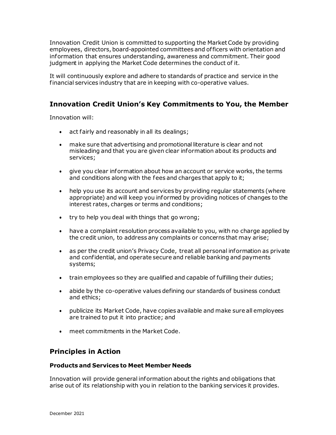Innovation Credit Union is committed to supporting the Market Code by providing employees, directors, board-appointed committees and of ficers with orientation and information that ensures understanding, awareness and commitment. Their good judgment in applying the Market Code determines the conduct of it.

It will continuously explore and adhere to standards of practice and service in the financial services industry that are in keeping with co-operative values.

# **Innovation Credit Union's Key Commitments to You, the Member**

Innovation will:

- act fairly and reasonably in all its dealings;
- make sure that advertising and promotional literature is clear and not misleading and that you are given clear information about its products and services;
- give you clear information about how an account or service works, the terms and conditions along with the fees and charges that apply to it;
- help you use its account and services by providing regular statements (where appropriate) and will keep you informed by providing notices of changes to the interest rates, charges or terms and conditions;
- try to help you deal with things that go wrong;
- have a complaint resolution process available to you, with no charge applied by the credit union, to address any complaints or concerns that may arise;
- as per the credit union's Privacy Code, treat all personal information as private and confidential, and operate secure and reliable banking and payments systems;
- train employees so they are qualified and capable of fulfilling their duties;
- abide by the co-operative values defining our standards of business conduct and ethics;
- publicize its Market Code, have copies available and make sure all employees are trained to put it into practice; and
- meet commitments in the Market Code.

# **Principles in Action**

#### **Products and Services to Meet Member Needs**

Innovation will provide general information about the rights and obligations that arise out of its relationship with you in relation to the banking services it provides.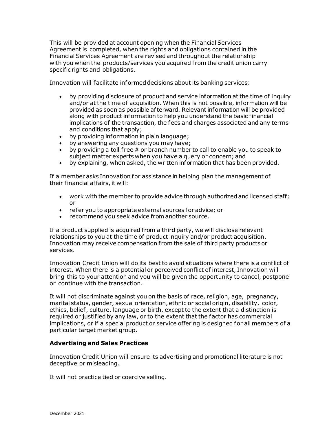This will be provided at account opening when the Financial Services Agreement is completed, when the rights and obligations contained in the Financial Services Agreement are revised and throughout the relationship with you when the products/services you acquired from the credit union carry specific rights and obligations.

Innovation will facilitate informed decisions about its banking services:

- by providing disclosure of product and service information at the time of inquiry and/or at the time of acquisition. When this is not possible, information will be provided as soon as possible af terward. Relevant information will be provided along with product information to help you understand the basic financial implications of the transaction, the fees and charges associated and any terms and conditions that apply;
- by providing information in plain language;
- by answering any questions you may have;
- by providing a toll free  $#$  or branch number to call to enable you to speak to subject matter experts when you have a query or concern; and
- by explaining, when asked, the written information that has been provided.

If a member asks Innovation for assistance in helping plan the management of their financial af fairs, it will:

- work with the member to provide advice through authorized and licensed staff; or
- refer you to appropriate external sources for advice; or
- recommend you seek advice from another source.

If a product supplied is acquired from a third party, we will disclose relevant relationships to you at the time of product inquiry and/or product acquisition. Innovation may receive compensation from the sale of third party products or services.

Innovation Credit Union will do its best to avoid situations where there is a conflict of interest. When there is a potential or perceived conflict of interest, Innovation will bring this to your attention and you will be given the opportunity to cancel, postpone or continue with the transaction.

It will not discriminate against you on the basis of race, religion, age, pregnancy, marital status, gender, sexual orientation, ethnic or social origin, disability, color, ethics, belief , culture, language or birth, except to the extent that a distinction is required or justified by any law, or to the extent that the factor has commercial implications, or if a special product or service offering is designed for all members of a particular target market group.

### **Advertising and Sales Practices**

Innovation Credit Union will ensure its advertising and promotional literature is not deceptive or misleading.

It will not practice tied or coercive selling.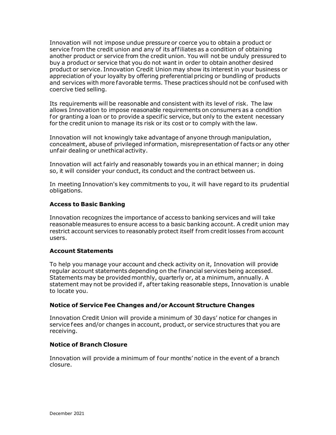Innovation will not impose undue pressure or coerce you to obtain a product or service from the credit union and any of its affiliates as a condition of obtaining another product or service from the credit union. You will not be unduly pressured to buy a product or service that you do not want in order to obtain another desired product or service. Innovation Credit Union may show its interest in your business or appreciation of your loyalty by offering preferential pricing or bundling of products and services with more favorable terms. These practices should not be confused with coercive tied selling.

Its requirements will be reasonable and consistent with its level of risk. The law allows Innovation to impose reasonable requirements on consumers as a condition for granting a loan or to provide a specific service, but only to the extent necessary for the credit union to manage its risk or its cost or to comply with the law.

Innovation will not knowingly take advantage of anyone through manipulation, concealment, abuse of privileged information, misrepresentation of facts or any other unfair dealing or unethical activity.

Innovation will act fairly and reasonably towards you in an ethical manner; in doing so, it will consider your conduct, its conduct and the contract between us.

In meeting Innovation's key commitments to you, it will have regard to its prudential obligations.

### **Access to Basic Banking**

Innovation recognizes the importance of access to banking services and will take reasonable measures to ensure access to a basic banking account. A credit union may restrict account services to reasonably protect itself from credit losses from account users.

#### **Account Statements**

To help you manage your account and check activity on it, Innovation will provide regular account statements depending on the financial services being accessed. Statements may be provided monthly, quarterly or, at a minimum, annually. A statement may not be provided if , af ter taking reasonable steps, Innovation is unable to locate you.

### **Notice of Service Fee Changes and/or Account Structure Changes**

Innovation Credit Union will provide a minimum of 30 days' notice for changes in service fees and/or changes in account, product, or service structures that you are receiving.

#### **Notice of Branch Closure**

Innovation will provide a minimum of four months' notice in the event of a branch closure.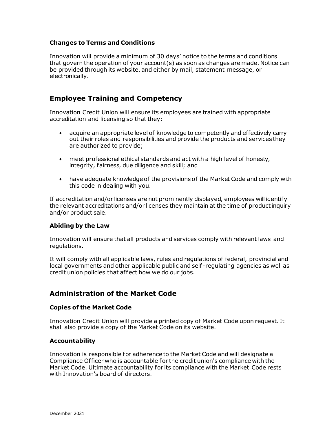### **Changes to Terms and Conditions**

Innovation will provide a minimum of 30 days' notice to the terms and conditions that govern the operation of your account(s) as soon as changes are made. Notice can be provided through its website, and either by mail, statement message, or electronically.

### **Employee Training and Competency**

Innovation Credit Union will ensure its employees are trained with appropriate accreditation and licensing so that they:

- acquire an appropriate level of knowledge to competently and effectively carry out their roles and responsibilities and provide the products and services they are authorized to provide;
- meet professional ethical standards and act with a high level of honesty, integrity, fairness, due diligence and skill; and
- have adequate knowledge of the provisions of the Market Code and comply with this code in dealing with you.

If accreditation and/or licenses are not prominently displayed, employees will identify the relevant accreditations and/or licenses they maintain at the time of product inquiry and/or product sale.

#### **Abiding by the Law**

Innovation will ensure that all products and services comply with relevant laws and regulations.

It will comply with all applicable laws, rules and regulations of federal, provincial and local governments and other applicable public and self -regulating agencies as well as credit union policies that affect how we do our jobs.

# **Administration of the Market Code**

#### **Copies of the Market Code**

Innovation Credit Union will provide a printed copy of Market Code upon request. It shall also provide a copy of the Market Code on its website.

#### **Accountability**

Innovation is responsible for adherence to the Market Code and will designate a Compliance Of ficer who is accountable for the credit union's compliance with the Market Code. Ultimate accountability for its compliance with the Market Code rests with Innovation's board of directors.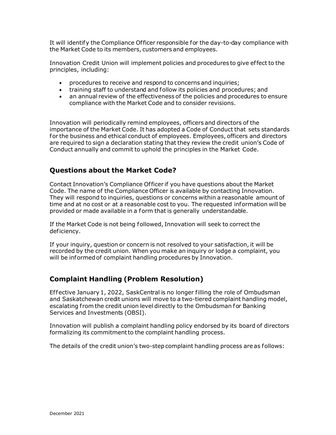It will identify the Compliance Of ficer responsible for the day-to-day compliance with the Market Code to its members, customers and employees.

Innovation Credit Union will implement policies and procedures to give ef fect to the principles, including:

- procedures to receive and respond to concerns and inquiries;
- training staff to understand and follow its policies and procedures; and
- an annual review of the effectiveness of the policies and procedures to ensure compliance with the Market Code and to consider revisions.

Innovation will periodically remind employees, officers and directors of the importance of the Market Code. It has adopted a Code of Conduct that sets standards for the business and ethical conduct of employees. Employees, officers and directors are required to sign a declaration stating that they review the credit union's Code of Conduct annually and commit to uphold the principles in the Market Code.

# **Questions about the Market Code?**

Contact Innovation's Compliance Of ficer if you have questions about the Market Code. The name of the Compliance Officer is available by contacting Innovation. They will respond to inquiries, questions or concerns within a reasonable amount of time and at no cost or at a reasonable cost to you. The requested information will be provided or made available in a form that is generally understandable.

If the Market Code is not being followed, Innovation will seek to correct the deficiency.

If your inquiry, question or concern is not resolved to your satisfaction, it will be recorded by the credit union. When you make an inquiry or lodge a complaint, you will be informed of complaint handling procedures by Innovation.

# **Complaint Handling (Problem Resolution)**

Effective January 1, 2022, SaskCentral is no longer filling the role of Ombudsman and Saskatchewan credit unions will move to a two-tiered complaint handling model, escalating from the credit union level directly to the Ombudsman for Banking Services and Investments (OBSI) .

Innovation will publish a complaint handling policy endorsed by its board of directors formalizing its commitment to the complaint handling process.

The details of the credit union's two-step complaint handling process are as follows: